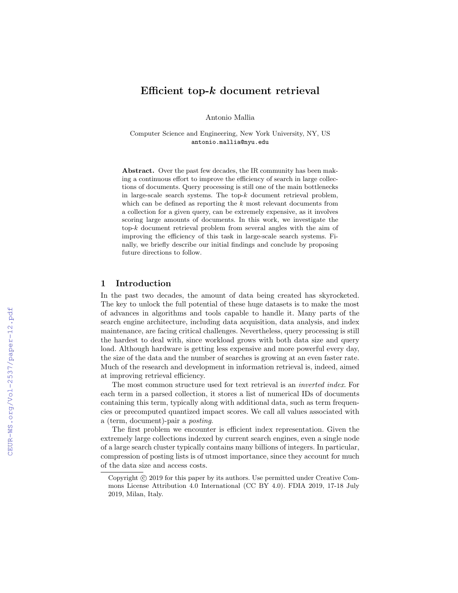# Efficient top-k document retrieval

Antonio Mallia

Computer Science and Engineering, New York University, NY, US antonio.mallia@nyu.edu

Abstract. Over the past few decades, the IR community has been making a continuous effort to improve the efficiency of search in large collections of documents. Query processing is still one of the main bottlenecks in large-scale search systems. The top- $k$  document retrieval problem, which can be defined as reporting the  $k$  most relevant documents from a collection for a given query, can be extremely expensive, as it involves scoring large amounts of documents. In this work, we investigate the top-k document retrieval problem from several angles with the aim of improving the efficiency of this task in large-scale search systems. Finally, we briefly describe our initial findings and conclude by proposing future directions to follow.

## 1 Introduction

In the past two decades, the amount of data being created has skyrocketed. The key to unlock the full potential of these huge datasets is to make the most of advances in algorithms and tools capable to handle it. Many parts of the search engine architecture, including data acquisition, data analysis, and index maintenance, are facing critical challenges. Nevertheless, query processing is still the hardest to deal with, since workload grows with both data size and query load. Although hardware is getting less expensive and more powerful every day, the size of the data and the number of searches is growing at an even faster rate. Much of the research and development in information retrieval is, indeed, aimed at improving retrieval efficiency.

The most common structure used for text retrieval is an inverted index. For each term in a parsed collection, it stores a list of numerical IDs of documents containing this term, typically along with additional data, such as term frequencies or precomputed quantized impact scores. We call all values associated with a (term, document)-pair a posting.

The first problem we encounter is efficient index representation. Given the extremely large collections indexed by current search engines, even a single node of a large search cluster typically contains many billions of integers. In particular, compression of posting lists is of utmost importance, since they account for much of the data size and access costs.

Copyright  $\odot$  2019 for this paper by its authors. Use permitted under Creative Commons License Attribution 4.0 International (CC BY 4.0). FDIA 2019, 17-18 July 2019, Milan, Italy.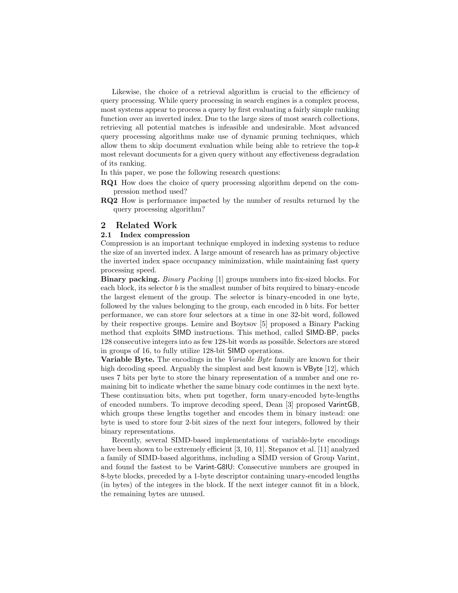Likewise, the choice of a retrieval algorithm is crucial to the efficiency of query processing. While query processing in search engines is a complex process, most systems appear to process a query by first evaluating a fairly simple ranking function over an inverted index. Due to the large sizes of most search collections, retrieving all potential matches is infeasible and undesirable. Most advanced query processing algorithms make use of dynamic pruning techniques, which allow them to skip document evaluation while being able to retrieve the top- $k$ most relevant documents for a given query without any effectiveness degradation of its ranking.

In this paper, we pose the following research questions:

- RQ1 How does the choice of query processing algorithm depend on the compression method used?
- RQ2 How is performance impacted by the number of results returned by the query processing algorithm?

### 2 Related Work

#### 2.1 Index compression

Compression is an important technique employed in indexing systems to reduce the size of an inverted index. A large amount of research has as primary objective the inverted index space occupancy minimization, while maintaining fast query processing speed.

Binary packing. Binary Packing [1] groups numbers into fix-sized blocks. For each block, its selector  $b$  is the smallest number of bits required to binary-encode the largest element of the group. The selector is binary-encoded in one byte, followed by the values belonging to the group, each encoded in b bits. For better performance, we can store four selectors at a time in one 32-bit word, followed by their respective groups. Lemire and Boytsov [5] proposed a Binary Packing method that exploits SIMD instructions. This method, called SIMD-BP, packs 128 consecutive integers into as few 128-bit words as possible. Selectors are stored in groups of 16, to fully utilize 128-bit SIMD operations.

**Variable Byte.** The encodings in the *Variable Byte* family are known for their high decoding speed. Arguably the simplest and best known is VByte [12], which uses 7 bits per byte to store the binary representation of a number and one remaining bit to indicate whether the same binary code continues in the next byte. These continuation bits, when put together, form unary-encoded byte-lengths of encoded numbers. To improve decoding speed, Dean [3] proposed VarintGB, which groups these lengths together and encodes them in binary instead: one byte is used to store four 2-bit sizes of the next four integers, followed by their binary representations.

Recently, several SIMD-based implementations of variable-byte encodings have been shown to be extremely efficient [3, 10, 11]. Stepanov et al. [11] analyzed a family of SIMD-based algorithms, including a SIMD version of Group Varint, and found the fastest to be Varint-G8IU: Consecutive numbers are grouped in 8-byte blocks, preceded by a 1-byte descriptor containing unary-encoded lengths (in bytes) of the integers in the block. If the next integer cannot fit in a block, the remaining bytes are unused.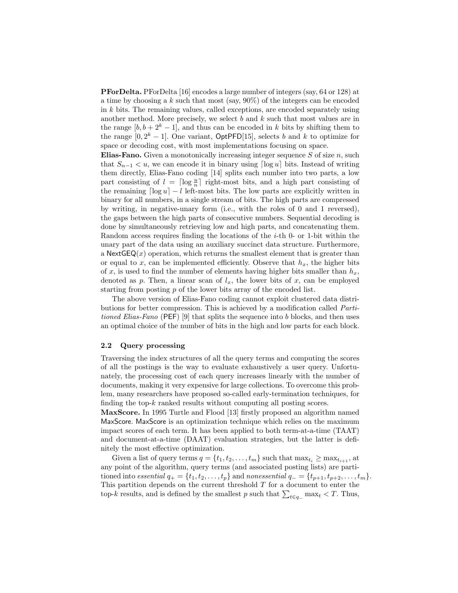PForDelta. PForDelta [16] encodes a large number of integers (say, 64 or 128) at a time by choosing a k such that most (say,  $90\%$ ) of the integers can be encoded in k bits. The remaining values, called exceptions, are encoded separately using another method. More precisely, we select  $b$  and  $k$  such that most values are in the range  $[b, b + 2<sup>k</sup> - 1]$ , and thus can be encoded in k bits by shifting them to the range  $[0, 2<sup>k</sup> - 1]$ . One variant, OptPFD[15], selects b and k to optimize for space or decoding cost, with most implementations focusing on space.

**Elias-Fano.** Given a monotonically increasing integer sequence  $S$  of size  $n$ , such that  $S_{n-1} < u$ , we can encode it in binary using  $\lceil \log u \rceil$  bits. Instead of writing them directly, Elias-Fano coding [14] splits each number into two parts, a low part consisting of  $l = \lceil \log \frac{u}{n} \rceil$  right-most bits, and a high part consisting of the remaining  $\lceil \log u \rceil - l$  left-most bits. The low parts are explicitly written in binary for all numbers, in a single stream of bits. The high parts are compressed by writing, in negative-unary form (i.e., with the roles of 0 and 1 reversed), the gaps between the high parts of consecutive numbers. Sequential decoding is done by simultaneously retrieving low and high parts, and concatenating them. Random access requires finding the locations of the  $i$ -th 0- or 1-bit within the unary part of the data using an auxiliary succinct data structure. Furthermore, a  $\text{NextGEQ}(x)$  operation, which returns the smallest element that is greater than or equal to x, can be implemented efficiently. Observe that  $h<sub>x</sub>$ , the higher bits of x, is used to find the number of elements having higher bits smaller than  $h_x$ , denoted as p. Then, a linear scan of  $l_x$ , the lower bits of x, can be employed starting from posting p of the lower bits array of the encoded list.

The above version of Elias-Fano coding cannot exploit clustered data distributions for better compression. This is achieved by a modification called Partitioned Elias-Fano (PEF) [9] that splits the sequence into b blocks, and then uses an optimal choice of the number of bits in the high and low parts for each block.

#### 2.2 Query processing

Traversing the index structures of all the query terms and computing the scores of all the postings is the way to evaluate exhaustively a user query. Unfortunately, the processing cost of each query increases linearly with the number of documents, making it very expensive for large collections. To overcome this problem, many researchers have proposed so-called early-termination techniques, for finding the top-k ranked results without computing all posting scores.

MaxScore. In 1995 Turtle and Flood [13] firstly proposed an algorithm named MaxScore. MaxScore is an optimization technique which relies on the maximum impact scores of each term. It has been applied to both term-at-a-time (TAAT) and document-at-a-time (DAAT) evaluation strategies, but the latter is definitely the most effective optimization.

Given a list of query terms  $q = \{t_1, t_2, \ldots, t_m\}$  such that  $\max_{t_i} \geq \max_{t_{i+1}}$ , at any point of the algorithm, query terms (and associated posting lists) are partitioned into essential  $q_+ = \{t_1, t_2, \ldots, t_p\}$  and nonessential  $q_- = \{t_{p+1}, t_{p+2}, \ldots, t_m\}$ . This partition depends on the current threshold  $T$  for a document to enter the top-k results, and is defined by the smallest p such that  $\sum_{t \in q_+} \max_t \langle T$ . Thus,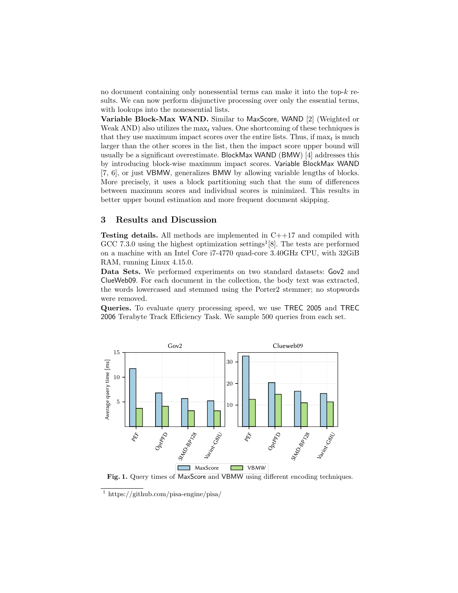no document containing only nonessential terms can make it into the top-k results. We can now perform disjunctive processing over only the essential terms, with lookups into the nonessential lists.

Variable Block-Max WAND. Similar to MaxScore, WAND [2] (Weighted or Weak AND) also utilizes the  $\max_t$  values. One shortcoming of these techniques is that they use maximum impact scores over the entire lists. Thus, if  $\max_t$  is much larger than the other scores in the list, then the impact score upper bound will usually be a significant overestimate. BlockMax WAND (BMW) [4] addresses this by introducing block-wise maximum impact scores. Variable BlockMax WAND [7, 6], or just VBMW, generalizes BMW by allowing variable lengths of blocks. More precisely, it uses a block partitioning such that the sum of differences between maximum scores and individual scores is minimized. This results in better upper bound estimation and more frequent document skipping.

## 3 Results and Discussion

**Testing details.** All methods are implemented in  $C_{++17}$  and compiled with GCC 7.3.0 using the highest optimization settings<sup>1</sup>[8]. The tests are performed on a machine with an Intel Core i7-4770 quad-core 3.40GHz CPU, with 32GiB RAM, running Linux 4.15.0.

Data Sets. We performed experiments on two standard datasets: Gov2 and ClueWeb09. For each document in the collection, the body text was extracted, the words lowercased and stemmed using the Porter2 stemmer; no stopwords were removed.

Queries. To evaluate query processing speed, we use TREC 2005 and TREC 2006 Terabyte Track Efficiency Task. We sample 500 queries from each set.



Fig. 1. Query times of MaxScore and VBMW using different encoding techniques.

<sup>1</sup> https://github.com/pisa-engine/pisa/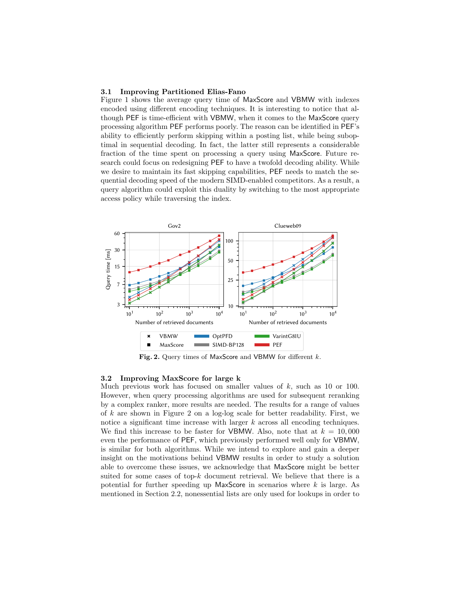#### 3.1 Improving Partitioned Elias-Fano

Figure 1 shows the average query time of MaxScore and VBMW with indexes encoded using different encoding techniques. It is interesting to notice that although PEF is time-efficient with VBMW, when it comes to the MaxScore query processing algorithm PEF performs poorly. The reason can be identified in PEF's ability to efficiently perform skipping within a posting list, while being suboptimal in sequential decoding. In fact, the latter still represents a considerable fraction of the time spent on processing a query using MaxScore. Future research could focus on redesigning PEF to have a twofold decoding ability. While we desire to maintain its fast skipping capabilities, PEF needs to match the sequential decoding speed of the modern SIMD-enabled competitors. As a result, a query algorithm could exploit this duality by switching to the most appropriate access policy while traversing the index.



Fig. 2. Query times of MaxScore and VBMW for different  $k$ .

### 3.2 Improving MaxScore for large k

Much previous work has focused on smaller values of  $k$ , such as 10 or 100. However, when query processing algorithms are used for subsequent reranking by a complex ranker, more results are needed. The results for a range of values of k are shown in Figure 2 on a log-log scale for better readability. First, we notice a significant time increase with larger k across all encoding techniques. We find this increase to be faster for VBMW. Also, note that at  $k = 10,000$ even the performance of PEF, which previously performed well only for VBMW, is similar for both algorithms. While we intend to explore and gain a deeper insight on the motivations behind VBMW results in order to study a solution able to overcome these issues, we acknowledge that MaxScore might be better suited for some cases of top-k document retrieval. We believe that there is a potential for further speeding up  $MaxScore$  in scenarios where  $k$  is large. As mentioned in Section 2.2, nonessential lists are only used for lookups in order to